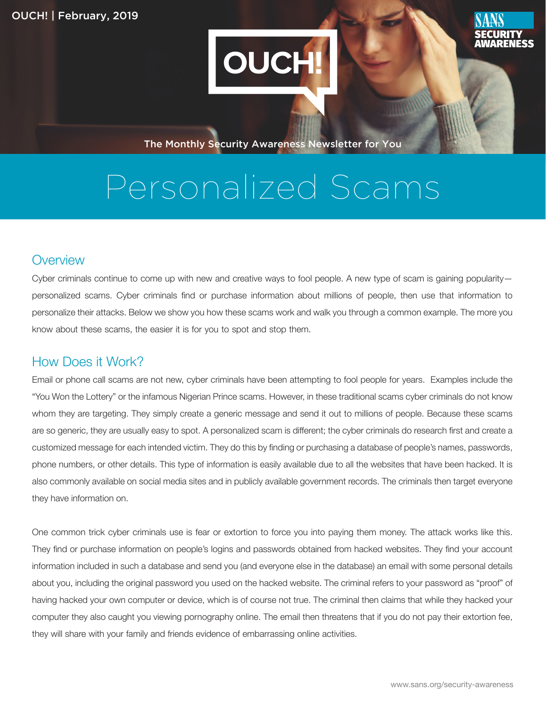

The Monthly Security Awareness Newsletter for You

# Personalized Scams

#### **Overview**

Cyber criminals continue to come up with new and creative ways to fool people. A new type of scam is gaining popularitypersonalized scams. Cyber criminals find or purchase information about millions of people, then use that information to personalize their attacks. Below we show you how these scams work and walk you through a common example. The more you know about these scams, the easier it is for you to spot and stop them.

#### How Does it Work?

Email or phone call scams are not new, cyber criminals have been attempting to fool people for years. Examples include the "You Won the Lottery" or the infamous Nigerian Prince scams. However, in these traditional scams cyber criminals do not know whom they are targeting. They simply create a generic message and send it out to millions of people. Because these scams are so generic, they are usually easy to spot. A personalized scam is different; the cyber criminals do research first and create a customized message for each intended victim. They do this by finding or purchasing a database of people's names, passwords, phone numbers, or other details. This type of information is easily available due to all the websites that have been hacked. It is also commonly available on social media sites and in publicly available government records. The criminals then target everyone they have information on.

One common trick cyber criminals use is fear or extortion to force you into paying them money. The attack works like this. They find or purchase information on people's logins and passwords obtained from hacked websites. They find your account information included in such a database and send you (and everyone else in the database) an email with some personal details about you, including the original password you used on the hacked website. The criminal refers to your password as "proof" of having hacked your own computer or device, which is of course not true. The criminal then claims that while they hacked your computer they also caught you viewing pornography online. The email then threatens that if you do not pay their extortion fee, they will share with your family and friends evidence of embarrassing online activities.